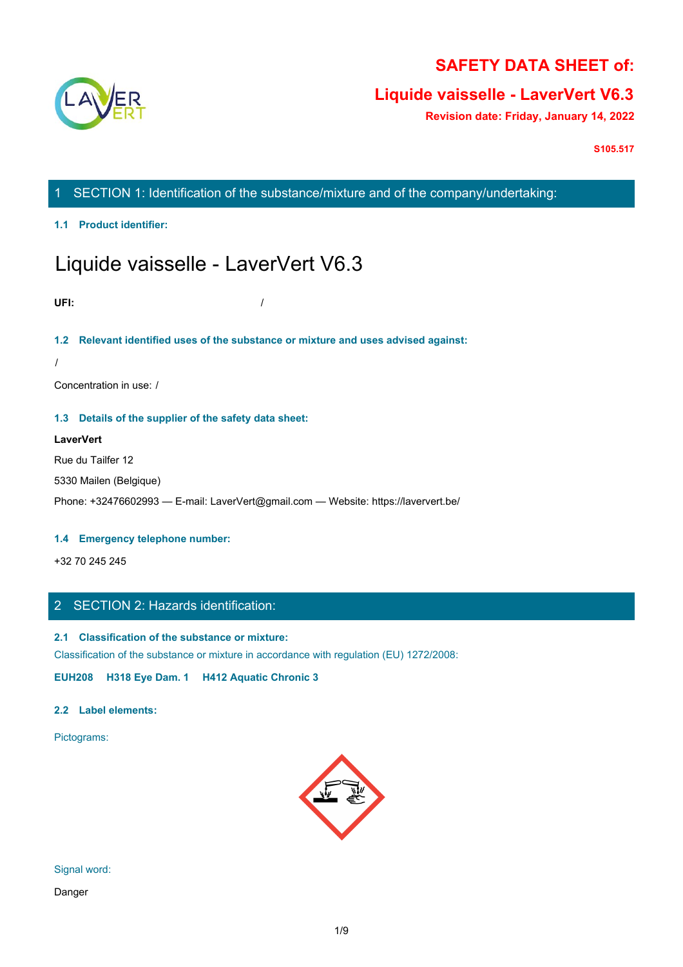

# **SAFETY DATA SHEET of:**

# **Liquide vaisselle - LaverVert V6.3**

**Revision date: Friday, January 14, 2022**

**S105.517**

1 SECTION 1: Identification of the substance/mixture and of the company/undertaking:

**1.1 Product identifier:**

# Liquide vaisselle - LaverVert V6.3

**UFI:** /

# **1.2 Relevant identified uses of the substance or mixture and uses advised against:**

/

Concentration in use: /

## **1.3 Details of the supplier of the safety data sheet:**

## **LaverVert**

Rue du Tailfer 12

5330 Mailen (Belgique)

Phone: +32476602993 — E-mail: LaverVert@gmail.com — Website: https://laververt.be/

## **1.4 Emergency telephone number:**

+32 70 245 245

# 2 SECTION 2: Hazards identification:

## **2.1 Classification of the substance or mixture:**

Classification of the substance or mixture in accordance with regulation (EU) 1272/2008:

**EUH208 H318 Eye Dam. 1 H412 Aquatic Chronic 3**

## **2.2 Label elements:**

Pictograms:

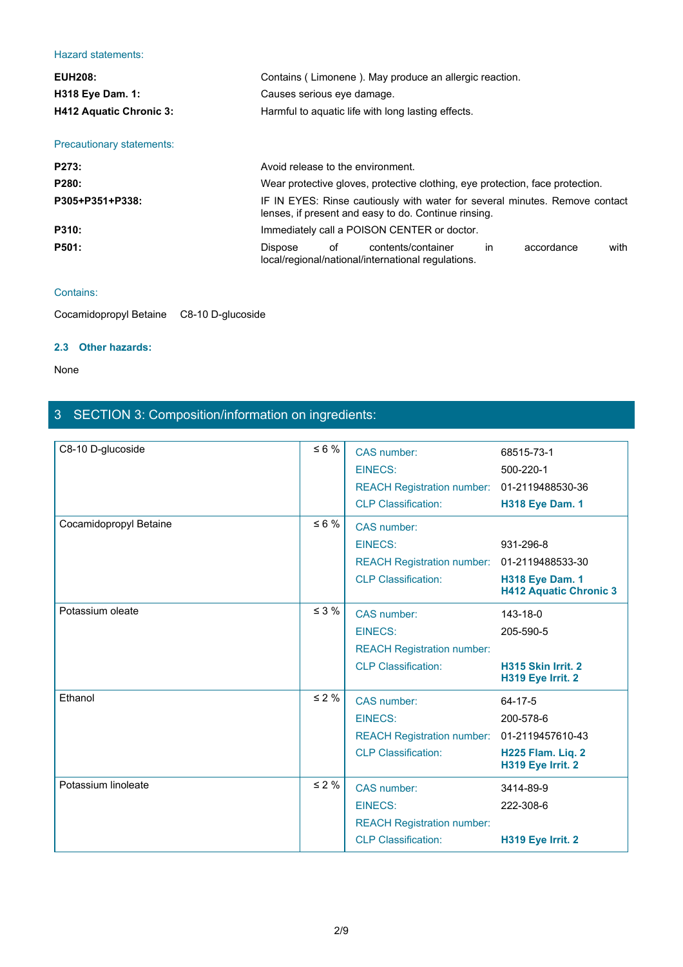## Hazard statements:

| Hazard statements:                          |                                                                                                                                     |
|---------------------------------------------|-------------------------------------------------------------------------------------------------------------------------------------|
| <b>EUH208:</b>                              | Contains (Limonene). May produce an allergic reaction.                                                                              |
| H318 Eye Dam. 1:                            | Causes serious eye damage.                                                                                                          |
| H412 Aquatic Chronic 3:                     | Harmful to aquatic life with long lasting effects.                                                                                  |
| Precautionary statements:                   |                                                                                                                                     |
| P273:                                       | Avoid release to the environment.                                                                                                   |
| P280:                                       | Wear protective gloves, protective clothing, eye protection, face protection.                                                       |
| P305+P351+P338:                             | IF IN EYES: Rinse cautiously with water for several minutes. Remove contact<br>lenses, if present and easy to do. Continue rinsing. |
| P310:                                       | Immediately call a POISON CENTER or doctor.                                                                                         |
| P501:                                       | of<br>in<br>with<br>Dispose<br>contents/container<br>accordance<br>local/regional/national/international regulations.               |
| Contains:                                   |                                                                                                                                     |
| Cocamidopropyl Betaine<br>C8-10 D-glucoside |                                                                                                                                     |

## Contains:

## **2.3 Other hazards:**

## None

# 3 SECTION 3: Composition/information on ingredients:

| C8-10 D-glucoside      | $\leq 6 \%$ | CAS number:                                 | 68515-73-1                                              |
|------------------------|-------------|---------------------------------------------|---------------------------------------------------------|
|                        |             | <b>EINECS:</b>                              | 500-220-1                                               |
|                        |             | REACH Registration number: 01-2119488530-36 |                                                         |
|                        |             | <b>CLP Classification:</b>                  | <b>H318 Eye Dam. 1</b>                                  |
| Cocamidopropyl Betaine | $\leq 6 \%$ | CAS number:                                 |                                                         |
|                        |             | <b>EINECS:</b>                              | 931-296-8                                               |
|                        |             | <b>REACH Registration number:</b>           | 01-2119488533-30                                        |
|                        |             | <b>CLP Classification:</b>                  | <b>H318 Eye Dam. 1</b><br><b>H412 Aquatic Chronic 3</b> |
| Potassium oleate       | $\leq$ 3 %  | CAS number:                                 | 143-18-0                                                |
|                        |             | <b>EINECS:</b>                              | 205-590-5                                               |
|                        |             | <b>REACH Registration number:</b>           |                                                         |
|                        |             | <b>CLP Classification:</b>                  | H315 Skin Irrit. 2<br>H319 Eye Irrit. 2                 |
| Ethanol                | $\leq 2\%$  | CAS number:                                 | 64-17-5                                                 |
|                        |             | <b>EINECS:</b>                              | 200-578-6                                               |
|                        |             | REACH Registration number: 01-2119457610-43 |                                                         |
|                        |             | <b>CLP Classification:</b>                  | H225 Flam. Liq. 2<br>H319 Eye Irrit. 2                  |
| Potassium linoleate    | $\leq 2\%$  | CAS number:                                 | 3414-89-9                                               |
|                        |             | <b>EINECS:</b>                              | 222-308-6                                               |
|                        |             | <b>REACH Registration number:</b>           |                                                         |
|                        |             | <b>CLP Classification:</b>                  | H319 Eye Irrit. 2                                       |
|                        |             |                                             |                                                         |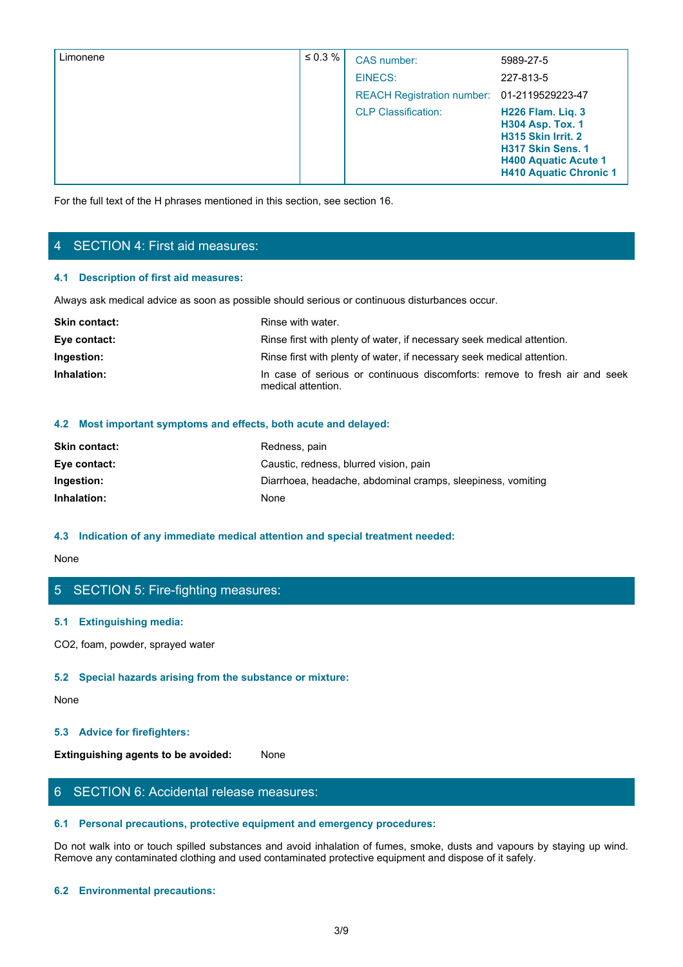| Limonene                               | $\leq 0.3 \%$                                                                                  | CAS number:                                                                | 5989-27-5                                                                                                                                                      |
|----------------------------------------|------------------------------------------------------------------------------------------------|----------------------------------------------------------------------------|----------------------------------------------------------------------------------------------------------------------------------------------------------------|
|                                        |                                                                                                | <b>EINECS:</b>                                                             | 227-813-5                                                                                                                                                      |
|                                        |                                                                                                | <b>REACH Registration number:</b>                                          | 01-2119529223-47                                                                                                                                               |
|                                        |                                                                                                | <b>CLP Classification:</b>                                                 | <b>H226 Flam. Liq. 3</b><br><b>H304 Asp. Tox. 1</b><br>H315 Skin Irrit. 2<br>H317 Skin Sens. 1<br><b>H400 Aquatic Acute 1</b><br><b>H410 Aquatic Chronic 1</b> |
|                                        |                                                                                                |                                                                            |                                                                                                                                                                |
|                                        | For the full text of the H phrases mentioned in this section, see section 16.                  |                                                                            |                                                                                                                                                                |
|                                        |                                                                                                |                                                                            |                                                                                                                                                                |
| 4 SECTION 4: First aid measures:       |                                                                                                |                                                                            |                                                                                                                                                                |
| 4.1 Description of first aid measures: |                                                                                                |                                                                            |                                                                                                                                                                |
|                                        | Always ask medical advice as soon as possible should serious or continuous disturbances occur. |                                                                            |                                                                                                                                                                |
| <b>Skin contact:</b>                   | Rinse with water.                                                                              |                                                                            |                                                                                                                                                                |
| Eye contact:                           |                                                                                                | Rinse first with plenty of water, if necessary seek medical attention.     |                                                                                                                                                                |
| Ingestion:                             |                                                                                                | Rinse first with plenty of water, if necessary seek medical attention.     |                                                                                                                                                                |
| Inhalation:                            | medical attention.                                                                             | In case of serious or continuous discomforts: remove to fresh air and seek |                                                                                                                                                                |
|                                        | 4.2 Most important symptoms and effects, both acute and delayed:                               |                                                                            |                                                                                                                                                                |
| Skin contact:                          |                                                                                                |                                                                            |                                                                                                                                                                |
|                                        | Redness, pain                                                                                  | .                                                                          |                                                                                                                                                                |

# 4 SECTION 4: First aid measures:

## **4.1 Description of first aid measures:**

| <b>Skin contact:</b> | Rinse with water.                                                                                |
|----------------------|--------------------------------------------------------------------------------------------------|
| Eye contact:         | Rinse first with plenty of water, if necessary seek medical attention.                           |
| Ingestion:           | Rinse first with plenty of water, if necessary seek medical attention.                           |
| Inhalation:          | In case of serious or continuous discomforts: remove to fresh air and seek<br>medical attention. |

## **4.2 Most important symptoms and effects, both acute and delayed:**

| <b>Skin contact:</b> | Redness, pain                                               |
|----------------------|-------------------------------------------------------------|
| Eye contact:         | Caustic, redness, blurred vision, pain                      |
| Ingestion:           | Diarrhoea, headache, abdominal cramps, sleepiness, vomiting |
| Inhalation:          | None                                                        |
|                      |                                                             |

## **4.3 Indication of any immediate medical attention and special treatment needed:**

None with the contract of the contract of the contract of the contract of the contract of the contract of the contract of the contract of the contract of the contract of the contract of the contract of the contract of the

# 5 SECTION 5: Fire-fighting measures:

## **5.1 Extinguishing media:**

CO2, foam, powder, sprayed water

## **5.2 Special hazards arising from the substance or mixture:**

None with the contract of the contract of the contract of the contract of the contract of the contract of the contract of the contract of the contract of the contract of the contract of the contract of the contract of the

## **5.3 Advice for firefighters:**

**Extinguishing agents to be avoided:** None

# 6 SECTION 6: Accidental release measures:

## **6.1 Personal precautions, protective equipment and emergency procedures:**

Do not walk into or touch spilled substances and avoid inhalation of fumes, smoke, dusts and vapours by staying up wind. Remove any contaminated clothing and used contaminated protective equipment and dispose of it safely.

## **6.2 Environmental precautions:**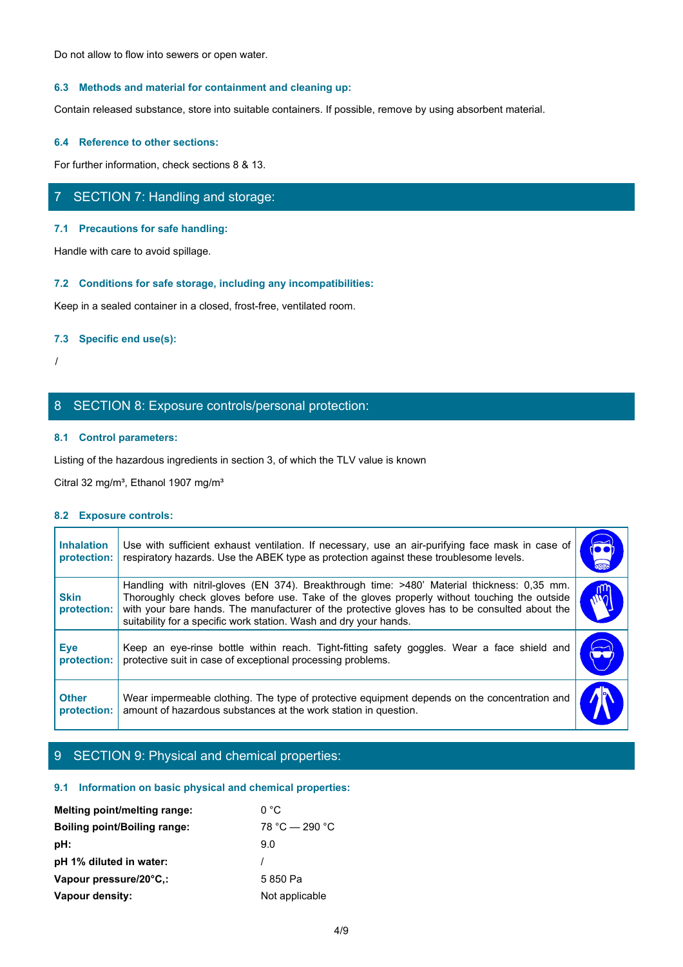Do not allow to flow into sewers or open water.

## **6.3 Methods and material for containment and cleaning up:**

Contain released substance, store into suitable containers. If possible, remove by using absorbent material.

### **6.4 Reference to other sections:**

For further information, check sections 8 & 13.

# 7 SECTION 7: Handling and storage:

## **7.1 Precautions for safe handling:**

## **7.2 Conditions for safe storage, including any incompatibilities:**

## **7.3 Specific end use(s):**

# 8 SECTION 8: Exposure controls/personal protection:

## **8.1 Control parameters:**

## **8.2 Exposure controls:**

|                                  | SECTION 7: Handling and storage:                                                                                                                                                                                                                                                                                                                                  |            |
|----------------------------------|-------------------------------------------------------------------------------------------------------------------------------------------------------------------------------------------------------------------------------------------------------------------------------------------------------------------------------------------------------------------|------------|
|                                  | 7.1 Precautions for safe handling:                                                                                                                                                                                                                                                                                                                                |            |
|                                  | Handle with care to avoid spillage.                                                                                                                                                                                                                                                                                                                               |            |
|                                  | 7.2 Conditions for safe storage, including any incompatibilities:                                                                                                                                                                                                                                                                                                 |            |
|                                  | Keep in a sealed container in a closed, frost-free, ventilated room.                                                                                                                                                                                                                                                                                              |            |
| 7.3 Specific end use(s):         |                                                                                                                                                                                                                                                                                                                                                                   |            |
|                                  |                                                                                                                                                                                                                                                                                                                                                                   |            |
|                                  |                                                                                                                                                                                                                                                                                                                                                                   |            |
|                                  | 8 SECTION 8: Exposure controls/personal protection:                                                                                                                                                                                                                                                                                                               |            |
| 8.1 Control parameters:          |                                                                                                                                                                                                                                                                                                                                                                   |            |
|                                  | Listing of the hazardous ingredients in section 3, of which the TLV value is known                                                                                                                                                                                                                                                                                |            |
|                                  | Citral 32 mg/m <sup>3</sup> , Ethanol 1907 mg/m <sup>3</sup>                                                                                                                                                                                                                                                                                                      |            |
| 8.2 Exposure controls:           |                                                                                                                                                                                                                                                                                                                                                                   |            |
| <b>Inhalation</b><br>protection: | Use with sufficient exhaust ventilation. If necessary, use an air-purifying face mask in case of<br>respiratory hazards. Use the ABEK type as protection against these troublesome levels.                                                                                                                                                                        | $\bullet$  |
| <b>Skin</b><br>protection:       | Handling with nitril-gloves (EN 374). Breakthrough time: >480' Material thickness: 0,35 mm.<br>Thoroughly check gloves before use. Take of the gloves properly without touching the outside<br>with your bare hands. The manufacturer of the protective gloves has to be consulted about the<br>suitability for a specific work station. Wash and dry your hands. | <b>AWT</b> |
| <b>Eye</b><br>protection:        | Keep an eye-rinse bottle within reach. Tight-fitting safety goggles. Wear a face shield and<br>protective suit in case of exceptional processing problems.                                                                                                                                                                                                        | $\bigodot$ |
| <b>Other</b><br>protection:      | Wear impermeable clothing. The type of protective equipment depends on the concentration and<br>amount of hazardous substances at the work station in question.                                                                                                                                                                                                   |            |
|                                  |                                                                                                                                                                                                                                                                                                                                                                   |            |

# 9 SECTION 9: Physical and chemical properties:

## **9.1 Information on basic physical and chemical properties:**

| Melting point/melting range:        | $0^{\circ}$ C    |
|-------------------------------------|------------------|
| <b>Boiling point/Boiling range:</b> | $78 °C - 290 °C$ |
| pH:                                 | 9.0              |
| pH 1% diluted in water:             |                  |
| Vapour pressure/20°C,:              | 5 850 Pa         |
| Vapour density:                     | Not applicable   |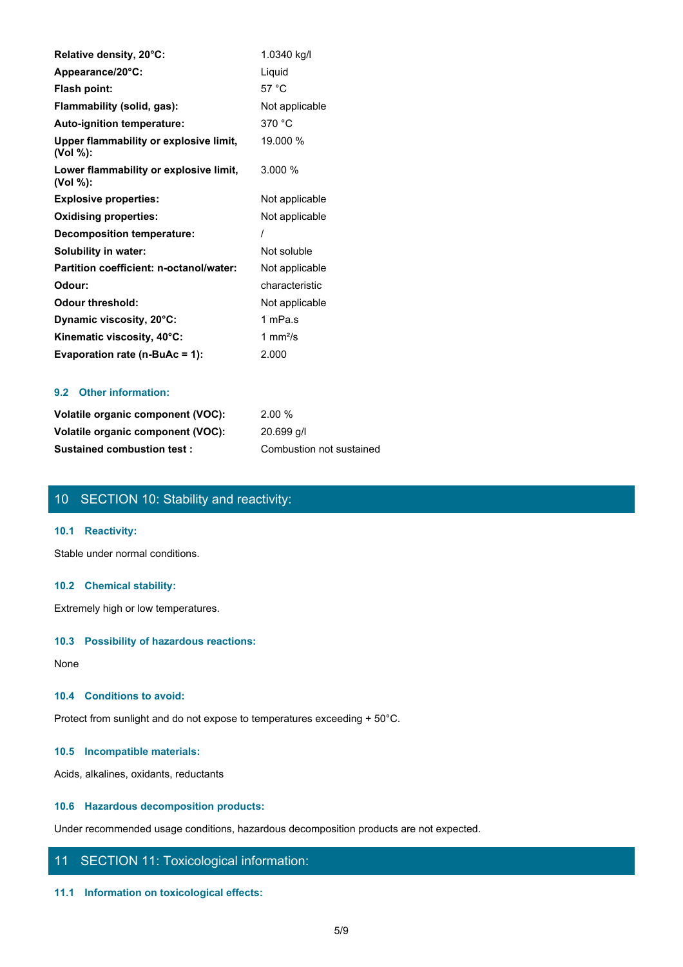| Relative density, 20°C:                            | 1.0340 kg/l    |
|----------------------------------------------------|----------------|
| Appearance/20°C:                                   | Liquid         |
| Flash point:                                       | 57 °C          |
| Flammability (solid, gas):                         | Not applicable |
| Auto-ignition temperature:                         | 370 °C         |
| Upper flammability or explosive limit,<br>(Vol %): | 19.000 %       |
| Lower flammability or explosive limit,<br>(Vol %): | 3.000 %        |
| <b>Explosive properties:</b>                       | Not applicable |
| <b>Oxidising properties:</b>                       | Not applicable |
| <b>Decomposition temperature:</b>                  |                |
| Solubility in water:                               | Not soluble    |
| Partition coefficient: n-octanol/water:            | Not applicable |
| Odour:                                             | characteristic |
| <b>Odour threshold:</b>                            | Not applicable |
| Dynamic viscosity, 20°C:                           | 1 mPa.s        |
| Kinematic viscosity, 40°C:                         | 1 $mm2/s$      |
| Evaporation rate ( $n-BuAc = 1$ ):                 | 2.000          |

## **9.2 Other information:**

| Volatile organic component (VOC): | 2.00%                    |
|-----------------------------------|--------------------------|
| Volatile organic component (VOC): | 20.699 g/l               |
| <b>Sustained combustion test:</b> | Combustion not sustained |

# 10 SECTION 10: Stability and reactivity:

## **10.1 Reactivity:**

Stable under normal conditions.

## **10.2 Chemical stability:**

Extremely high or low temperatures.

## **10.3 Possibility of hazardous reactions:**

None with the contract of the contract of the contract of the contract of the contract of the contract of the contract of the contract of the contract of the contract of the contract of the contract of the contract of the

## **10.4 Conditions to avoid:**

Protect from sunlight and do not expose to temperatures exceeding + 50°C.

## **10.5 Incompatible materials:**

Acids, alkalines, oxidants, reductants

## **10.6 Hazardous decomposition products:**

Under recommended usage conditions, hazardous decomposition products are not expected.

# 11 SECTION 11: Toxicological information:

#### **11.1 Information on toxicological effects:**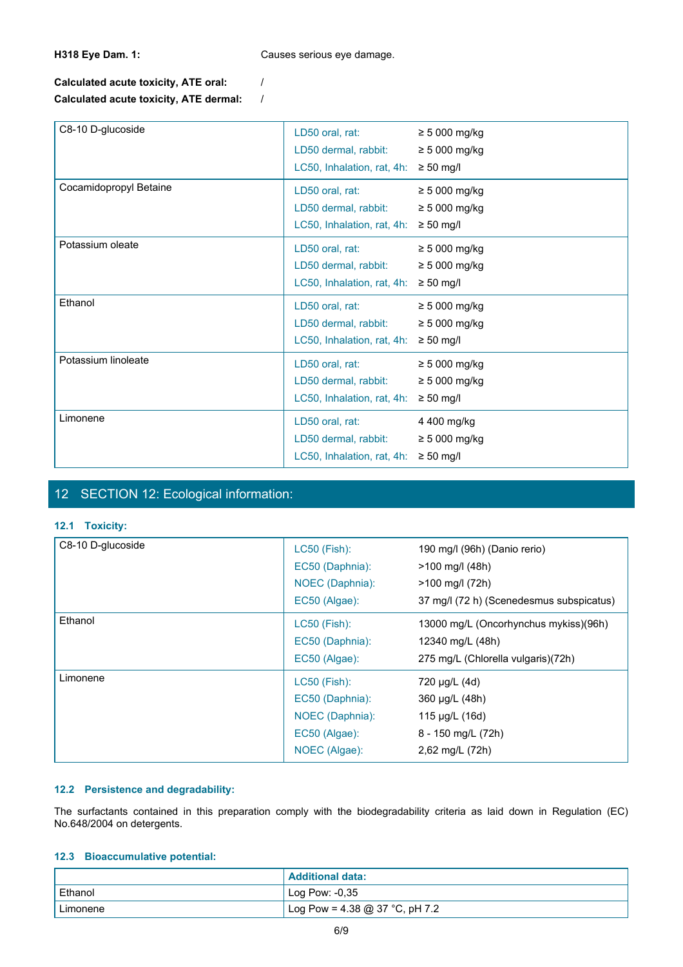**H318 Eye Dam. 1:** Causes serious eye damage.

# **Calculated acute toxicity, ATE oral:** / **Calculated acute toxicity, ATE dermal:** /

| C8-10 D-glucoside      | LD50 oral, rat:<br>LD50 dermal, rabbit: | $\geq 5000$ mg/kg<br>$\geq 5000$ mg/kg |
|------------------------|-----------------------------------------|----------------------------------------|
|                        | LC50, Inhalation, rat, 4h:              | $\geq 50$ mg/l                         |
| Cocamidopropyl Betaine | LD50 oral, rat:                         | $\geq 5000$ mg/kg                      |
|                        | LD50 dermal, rabbit:                    | $\geq$ 5 000 mg/kg                     |
|                        | LC50, Inhalation, rat, 4h:              | $\geq 50$ mg/l                         |
| Potassium oleate       | LD50 oral, rat:                         | $\geq 5000$ mg/kg                      |
|                        | LD50 dermal, rabbit:                    | $\geq 5000$ mg/kg                      |
|                        | LC50, Inhalation, rat, 4h:              | $\geq 50$ mg/l                         |
| Ethanol                | LD50 oral, rat:                         | $\geq 5000$ mg/kg                      |
|                        | LD50 dermal, rabbit:                    | $\geq 5000$ mg/kg                      |
|                        | LC50, Inhalation, rat, 4h:              | $\geq 50$ mg/l                         |
| Potassium linoleate    | LD50 oral, rat:                         | $\geq 5000$ mg/kg                      |
|                        | LD50 dermal, rabbit:                    | $\geq 5000$ mg/kg                      |
|                        | LC50, Inhalation, rat, 4h:              | $\geq 50$ mg/l                         |
| Limonene               | LD50 oral, rat:                         | 4 400 mg/kg                            |
|                        | LD50 dermal, rabbit:                    | $\geq 5000$ mg/kg                      |
|                        | LC50, Inhalation, rat, 4h:              | $\geq 50$ mg/l                         |

# 12 SECTION 12: Ecological information:

## **12.1 Toxicity:**

|                                                                                                      | $\epsilon$ = $\epsilon$ , interaction, rat, $\tau$ m. $\epsilon$ = $\epsilon$ or mapped |                                                                                                                         |
|------------------------------------------------------------------------------------------------------|-----------------------------------------------------------------------------------------|-------------------------------------------------------------------------------------------------------------------------|
| 12 SECTION 12: Ecological information:                                                               |                                                                                         |                                                                                                                         |
| 12.1 Toxicity:                                                                                       |                                                                                         |                                                                                                                         |
| C8-10 D-glucoside                                                                                    | <b>LC50 (Fish):</b><br>EC50 (Daphnia):<br>NOEC (Daphnia):<br>EC50 (Algae):              | 190 mg/l (96h) (Danio rerio)<br>>100 mg/l (48h)<br>>100 mg/l (72h)<br>37 mg/l (72 h) (Scenedesmus subspicatus)          |
| Ethanol                                                                                              | LC50 (Fish):<br>EC50 (Daphnia):<br>EC50 (Algae):                                        | 13000 mg/L (Oncorhynchus mykiss)(96h)<br>12340 mg/L (48h)<br>275 mg/L (Chlorella vulgaris)(72h)                         |
| Limonene                                                                                             | LC50 (Fish):<br>EC50 (Daphnia):<br>NOEC (Daphnia):<br>EC50 (Algae):<br>NOEC (Algae):    | 720 µg/L (4d)<br>360 µg/L (48h)<br>115 µg/L (16d)<br>8 - 150 mg/L (72h)<br>2,62 mg/L (72h)                              |
| 12.2 Persistence and degradability:<br>No.648/2004 on detergents.<br>12.3 Bioaccumulative potential: |                                                                                         | The surfactants contained in this preparation comply with the biodegradability criteria as laid down in Regulation (EC) |
|                                                                                                      | <b>Additional data:</b>                                                                 |                                                                                                                         |
| Ethanol                                                                                              | Log Pow: -0,35                                                                          |                                                                                                                         |

## **12.2 Persistence and degradability:**

## **12.3 Bioaccumulative potential:**

|           | <b>Additional data:</b>            |
|-----------|------------------------------------|
| l Ethanol | Log Pow: $-0,35$                   |
| Limonene  | $1$ Log Pow = 4.38 @ 37 °C, pH 7.2 |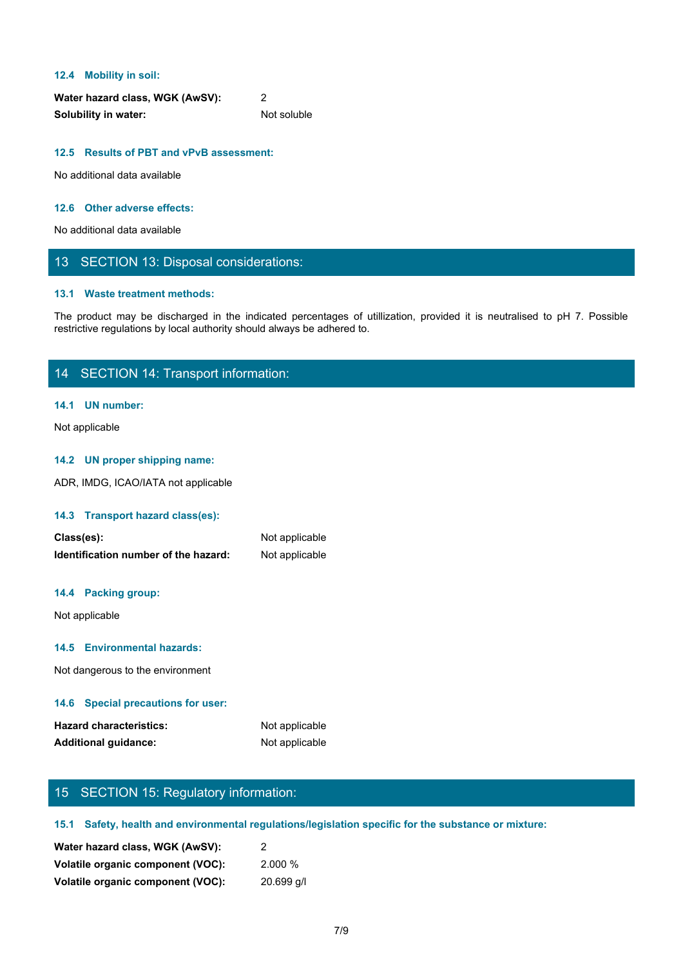## **12.4 Mobility in soil:**

| Water hazard class, WGK (AwSV): |             |
|---------------------------------|-------------|
| <b>Solubility in water:</b>     | Not soluble |

# **12.5 Results of PBT and vPvB assessment:**

No additional data available

## **12.6 Other adverse effects:**

No additional data available

# 13 SECTION 13: Disposal considerations:

## **13.1 Waste treatment methods:**

The Mobility in soli:<br>
Water hazard class, WGK (AwSV):<br>
Solubility in water:<br>
No additional data available<br>
The product may be discharged in the indicated percentages of utilization, provided it is neutralised to pH 7. Pos restrictive regulations by local authority should always be adhered to.

# 14 SECTION 14: Transport information:

## **14.1 UN number:**

Not applicable

## **14.2 UN proper shipping name:**

ADR, IMDG, ICAO/IATA not applicable

## **14.3 Transport hazard class(es):**

| Class(es):                           | Not applicable |  |
|--------------------------------------|----------------|--|
| Identification number of the hazard: | Not applicable |  |
| 14.4 Packing group:                  |                |  |
| Not applicable                       |                |  |
| 14.5 Environmental hazards:          |                |  |
| Not dangerous to the environment     |                |  |
| 14.6 Special precautions for user:   |                |  |

| <b>Hazard characteristics:</b> | Not applicable |
|--------------------------------|----------------|
| <b>Additional guidance:</b>    | Not applicable |

# 15 SECTION 15: Regulatory information:

## **15.1 Safety, health and environmental regulations/legislation specific for the substance or mixture:**

| Water hazard class, WGK (AwSV):   |              |
|-----------------------------------|--------------|
| Volatile organic component (VOC): | $2.000\%$    |
| Volatile organic component (VOC): | $20.699$ q/l |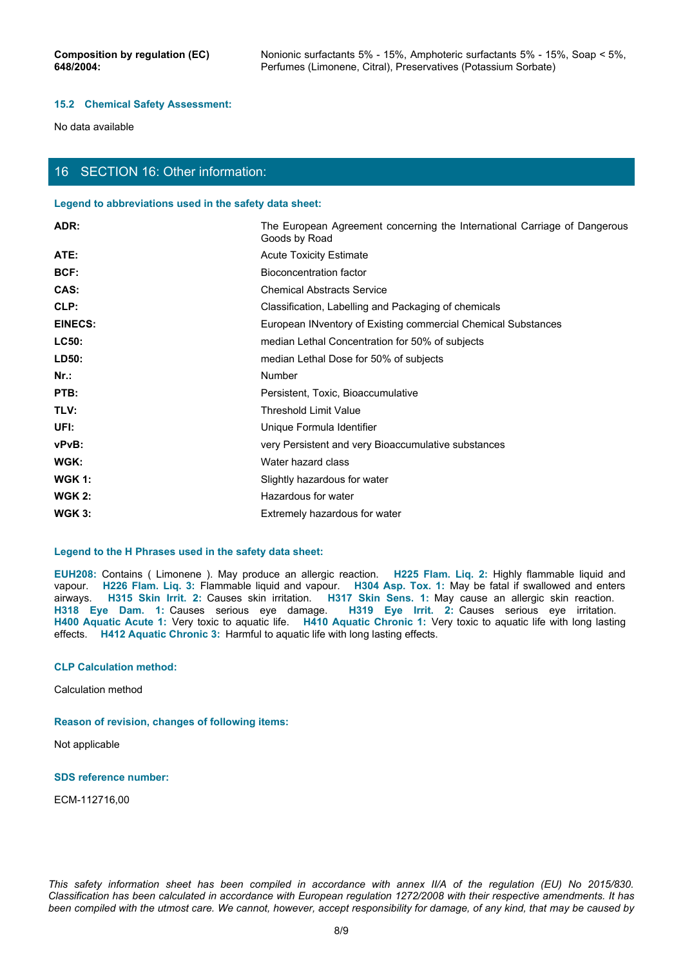### **15.2 Chemical Safety Assessment:**

No data available

# 16 SECTION 16: Other information:

### **Legend to abbreviations used in the safety data sheet:**

| ADR:                           | The European Agreement concerning the International Carriage of Dangerous<br>Goods by Road                                                                                                                                                                                                                                                                                                                                                                                                                                                                                                                                                                          |  |
|--------------------------------|---------------------------------------------------------------------------------------------------------------------------------------------------------------------------------------------------------------------------------------------------------------------------------------------------------------------------------------------------------------------------------------------------------------------------------------------------------------------------------------------------------------------------------------------------------------------------------------------------------------------------------------------------------------------|--|
| ATE:                           | <b>Acute Toxicity Estimate</b>                                                                                                                                                                                                                                                                                                                                                                                                                                                                                                                                                                                                                                      |  |
| BCF:                           | <b>Bioconcentration factor</b>                                                                                                                                                                                                                                                                                                                                                                                                                                                                                                                                                                                                                                      |  |
| CAS:                           | <b>Chemical Abstracts Service</b>                                                                                                                                                                                                                                                                                                                                                                                                                                                                                                                                                                                                                                   |  |
| CLP:                           | Classification, Labelling and Packaging of chemicals                                                                                                                                                                                                                                                                                                                                                                                                                                                                                                                                                                                                                |  |
| <b>EINECS:</b>                 | European INventory of Existing commercial Chemical Substances                                                                                                                                                                                                                                                                                                                                                                                                                                                                                                                                                                                                       |  |
| LC50:                          | median Lethal Concentration for 50% of subjects                                                                                                                                                                                                                                                                                                                                                                                                                                                                                                                                                                                                                     |  |
| LD50:                          | median Lethal Dose for 50% of subjects                                                                                                                                                                                                                                                                                                                                                                                                                                                                                                                                                                                                                              |  |
| $Nr.$ :                        | Number                                                                                                                                                                                                                                                                                                                                                                                                                                                                                                                                                                                                                                                              |  |
| PTB:                           | Persistent, Toxic, Bioaccumulative                                                                                                                                                                                                                                                                                                                                                                                                                                                                                                                                                                                                                                  |  |
| TLV:                           | <b>Threshold Limit Value</b>                                                                                                                                                                                                                                                                                                                                                                                                                                                                                                                                                                                                                                        |  |
| UFI:                           | Unique Formula Identifier                                                                                                                                                                                                                                                                                                                                                                                                                                                                                                                                                                                                                                           |  |
| vPvB:                          | very Persistent and very Bioaccumulative substances                                                                                                                                                                                                                                                                                                                                                                                                                                                                                                                                                                                                                 |  |
| WGK:                           | Water hazard class                                                                                                                                                                                                                                                                                                                                                                                                                                                                                                                                                                                                                                                  |  |
| <b>WGK 1:</b>                  | Slightly hazardous for water                                                                                                                                                                                                                                                                                                                                                                                                                                                                                                                                                                                                                                        |  |
| <b>WGK 2:</b>                  | Hazardous for water                                                                                                                                                                                                                                                                                                                                                                                                                                                                                                                                                                                                                                                 |  |
| <b>WGK 3:</b>                  | Extremely hazardous for water                                                                                                                                                                                                                                                                                                                                                                                                                                                                                                                                                                                                                                       |  |
|                                |                                                                                                                                                                                                                                                                                                                                                                                                                                                                                                                                                                                                                                                                     |  |
|                                | Legend to the H Phrases used in the safety data sheet:                                                                                                                                                                                                                                                                                                                                                                                                                                                                                                                                                                                                              |  |
|                                | EUH208: Contains ( Limonene ). May produce an allergic reaction. H225 Flam. Liq. 2: Highly flammable liquid and<br>vapour. H226 Flam. Lig. 3: Flammable liquid and vapour. H304 Asp. Tox. 1: May be fatal if swallowed and enters<br>airways. H315 Skin Irrit. 2: Causes skin irritation. H317 Skin Sens. 1: May cause an allergic skin reaction.<br>H318 Eye Dam. 1: Causes serious eye damage. H319 Eye Irrit. 2: Causes serious eye irritation.<br>H400 Aquatic Acute 1: Very toxic to aquatic life. H410 Aquatic Chronic 1: Very toxic to aquatic life with long lasting<br>effects. H412 Aquatic Chronic 3: Harmful to aquatic life with long lasting effects. |  |
| <b>CLP Calculation method:</b> |                                                                                                                                                                                                                                                                                                                                                                                                                                                                                                                                                                                                                                                                     |  |
| Calculation method             |                                                                                                                                                                                                                                                                                                                                                                                                                                                                                                                                                                                                                                                                     |  |
|                                |                                                                                                                                                                                                                                                                                                                                                                                                                                                                                                                                                                                                                                                                     |  |

## **Legend to the H Phrases used in the safety data sheet:**

**H400 Aquatic Acute 1:** Very toxic to aquatic life. **H410 Aquatic Chronic 1:** Very toxic to aquatic life with long lasting effects. **H412 Aquatic Chronic 3:** Harmful to aquatic life with long lasting effects. Legend to the H Phrases used in the safety data sheet:<br>
TEUH206: Contains ( Limonene ). May produce an allergic reaction.<br>
TH226 Filem. Lite, 2: Filem mudio liquid and vapour. H330. AEp: Tox. 1: May could a flavoribused an

### **CLP Calculation method:**

## **Reason of revision, changes of following items:**

Not applicable

## **SDS reference number:**

ECM-112716,00

*Classification has been calculated in accordance with European regulation 1272/2008 with their respective amendments. It has been compiled with the utmost care. We cannot, however, accept responsibility for damage, of any kind, that may be caused by*